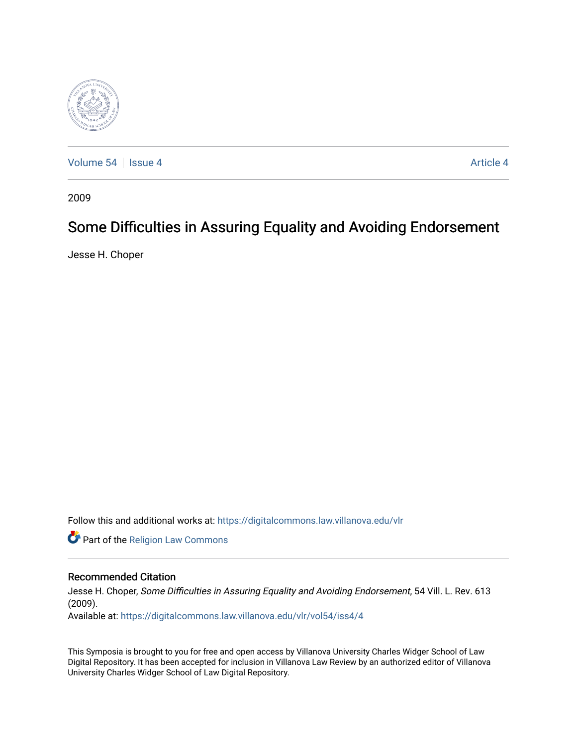

[Volume 54](https://digitalcommons.law.villanova.edu/vlr/vol54) | [Issue 4](https://digitalcommons.law.villanova.edu/vlr/vol54/iss4) Article 4

2009

## Some Difficulties in Assuring Equality and Avoiding Endorsement

Jesse H. Choper

Follow this and additional works at: [https://digitalcommons.law.villanova.edu/vlr](https://digitalcommons.law.villanova.edu/vlr?utm_source=digitalcommons.law.villanova.edu%2Fvlr%2Fvol54%2Fiss4%2F4&utm_medium=PDF&utm_campaign=PDFCoverPages)

Part of the [Religion Law Commons](http://network.bepress.com/hgg/discipline/872?utm_source=digitalcommons.law.villanova.edu%2Fvlr%2Fvol54%2Fiss4%2F4&utm_medium=PDF&utm_campaign=PDFCoverPages)

## Recommended Citation

Jesse H. Choper, Some Difficulties in Assuring Equality and Avoiding Endorsement, 54 Vill. L. Rev. 613 (2009).

Available at: [https://digitalcommons.law.villanova.edu/vlr/vol54/iss4/4](https://digitalcommons.law.villanova.edu/vlr/vol54/iss4/4?utm_source=digitalcommons.law.villanova.edu%2Fvlr%2Fvol54%2Fiss4%2F4&utm_medium=PDF&utm_campaign=PDFCoverPages) 

This Symposia is brought to you for free and open access by Villanova University Charles Widger School of Law Digital Repository. It has been accepted for inclusion in Villanova Law Review by an authorized editor of Villanova University Charles Widger School of Law Digital Repository.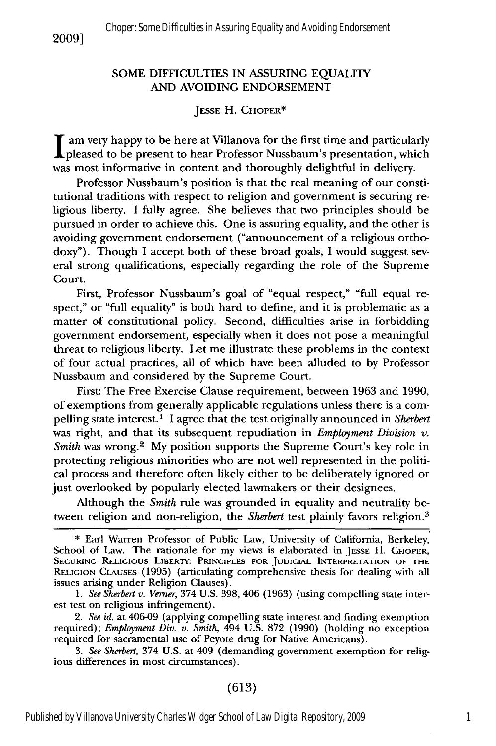## SOME DIFFICULTIES IN ASSURING EQUALITY AND AVOIDING ENDORSEMENT

## **JESSE** H. CHOPER\*

**I** am very happy to be here at Villanova for the first time and particularly pleased to be present to hear Professor Nussbaum's presentation, which was most informative in content and thoroughly delightful in delivery.

Professor Nussbaum's position is that the real meaning of our constitutional traditions with respect to religion and government is securing religious liberty. I fully agree. She believes that two principles should be pursued in order to achieve this. One is assuring equality, and the other is avoiding government endorsement ("announcement of a religious orthodoxy"). Though I accept both of these broad goals, I would suggest several strong qualifications, especially regarding the role of the Supreme Court.

First, Professor Nussbaum's goal of "equal respect," "full equal respect," or "full equality" is both hard to define, and it is problematic as a matter of constitutional policy. Second, difficulties arise in forbidding government endorsement, especially when it does not pose a meaningful threat to religious liberty. Let me illustrate these problems in the context of four actual practices, all of which have been alluded to by Professor Nussbaum and considered by the Supreme Court.

First: The Free Exercise Clause requirement, between 1963 and 1990, of exemptions from generally applicable regulations unless there is a compelling state interest.1 I agree that the test originally announced in *Sherbert* was right, and that its subsequent repudiation in *Employment* Division *v. Smith* was wrong.<sup>2</sup> My position supports the Supreme Court's key role in protecting religious minorities who are not well represented in the political process and therefore often likely either to be deliberately ignored or just overlooked by popularly elected lawmakers or their designees.

Although the *Smith* rule was grounded in equality and neutrality between religion and non-religion, the *Sherbert* test plainly favors religion.<sup>3</sup>

*3. See Sherbert,* 374 U.S. at 409 (demanding government exemption for religious differences in most circumstances).

**<sup>\*</sup>** Earl Warren Professor of Public Law, University of California, Berkeley, School of Law. The rationale for my views is elaborated in JESSE H. CHOPER, **SECURING** RELIGIOUS LIBERTY' PRINCIPLES **FOR** JUDICIAL INTERPRETATION OF **THE RELIGION CLAUSES** (1995) (articulating comprehensive thesis for dealing with all issues arising under Religion Clauses).

*<sup>1.</sup> See Sherbert v. Verner,* 374 U.S. 398, 406 (1963) (using compelling state interest test on religious infringement).

*<sup>2.</sup> See id.* at 406-09 (applying compelling state interest and finding exemption required); *Employment Div. v. Smith,* 494 U.S. 872 (1990) (holding no exception required for sacramental use of Peyote drug for Native Americans).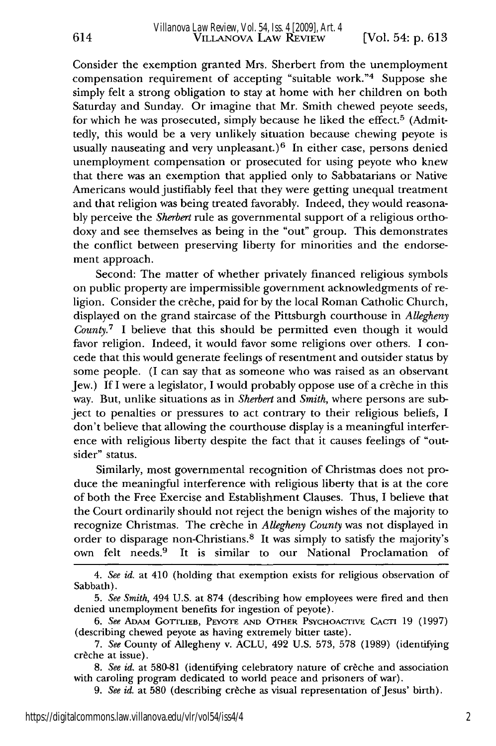614

Consider the exemption granted Mrs. Sherbert from the unemployment compensation requirement of accepting "suitable work."4 Suppose she simply felt a strong obligation to stay at home with her children on both Saturday and Sunday. Or imagine that Mr. Smith chewed peyote seeds, for which he was prosecuted, simply because he liked the effect.<sup>5</sup> (Admittedly, this would be a very unlikely situation because chewing peyote is usually nauseating and very unpleasant.)<sup>6</sup> In either case, persons denied unemployment compensation or prosecuted for using peyote who knew that there was an exemption that applied only to Sabbatarians or Native Americans would justifiably feel that they were getting unequal treatment and that religion was being treated favorably. Indeed, they would reasonably perceive the *Sherbert* rule as governmental support of a religious orthodoxy and see themselves as being in the "out" group. This demonstrates the conflict between preserving liberty for minorities and the endorsement approach.

Second: The matter of whether privately financed religious symbols on public property are impermissible government acknowledgments of religion. Consider the crèche, paid for by the local Roman Catholic Church, displayed on the grand staircase of the Pittsburgh courthouse in *Allegheny County.7* I believe that this should be permitted even though it would favor religion. Indeed, it would favor some religions over others. I concede that this would generate feelings of resentment and outsider status by some people. (I can say that as someone who was raised as an observant Jew.) If I were a legislator, I would probably oppose use of a creche in this way. But, unlike situations as in *Sherbert* and *Smith,* where persons are subject to penalties or pressures to act contrary to their religious beliefs, I don't believe that allowing the courthouse display is a meaningful interference with religious liberty despite the fact that it causes feelings of "outsider" status.

Similarly, most governmental recognition of Christmas does not produce the meaningful interference with religious liberty that is at the core of both the Free Exercise and Establishment Clauses. Thus, I believe that the Court ordinarily should not reject the benign wishes of the majority to recognize Christmas. The creche in *Allegheny County* was not displayed in order to disparage non-Christians.8 It was simply to satisfy the majority's own felt needs.9 It is similar to our National Proclamation of

*4. See id.* at 410 (holding that exemption exists for religious observation of Sabbath).

*9. See id.* at 580 (describing creche as visual representation of Jesus' birth).

*<sup>5.</sup> See Smith,* 494 U.S. at 874 (describing how employees were fired and then denied unemployment benefits for ingestion of peyote).

*<sup>6.</sup> See ADAM* GoTTLIEB, PEYOTE **AND** OTHER PSYCHOACTIVE CACTI 19 (1997) (describing chewed peyote as having extremely bitter taste).

<sup>7.</sup> *See* County of Allegheny v. ACLU, 492 U.S. 573, 578 (1989) (identifying creche at issue).

*<sup>8.</sup> See id.* at 580-81 (identifying celebratory nature of creche and association with caroling program dedicated to world peace and prisoners of war).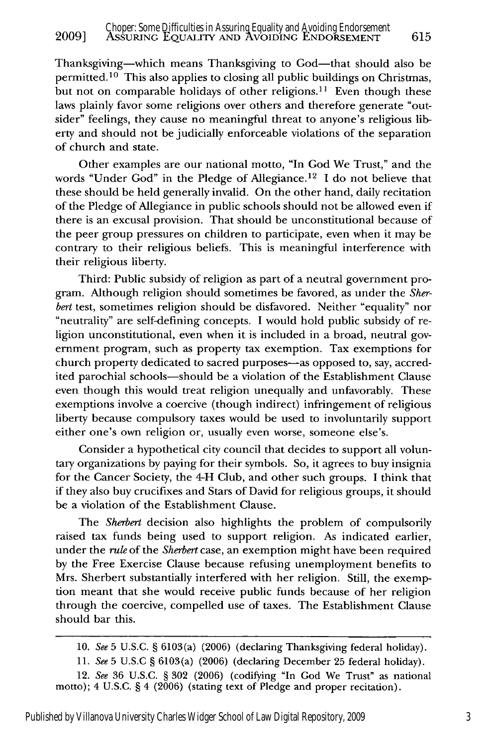Thanksgiving-which means Thanksgiving to God-that should also be permitted. 10 This also applies to closing all public buildings on Christmas, but not on comparable holidays of other religions.<sup>11</sup> Even though these laws plainly favor some religions over others and therefore generate "outsider" feelings, they cause no meaningful threat to anyone's religious liberty and should not be judicially enforceable violations of the separation of church and state.

Other examples are our national motto, "In God We Trust," and the words "Under God" in the Pledge of Allegiance.<sup>12</sup> I do not believe that these should be held generally invalid. On the other hand, daily recitation of the Pledge of Allegiance in public schools should not be allowed even if there is an excusal provision. That should be unconstitutional because of the peer group pressures on children to participate, even when it may be contrary to their religious beliefs. This is meaningful interference with their religious liberty.

Third: Public subsidy of religion as part of a neutral government program. Although religion should sometimes be favored, as under the *Sherbert* test, sometimes religion should be disfavored. Neither "equality" nor "neutrality" are self-defining concepts. I would hold public subsidy of religion unconstitutional, even when it is included in a broad, neutral government program, such as property tax exemption. Tax exemptions for church property dedicated to sacred purposes-as opposed to, say, accredited parochial schools-should be a violation of the Establishment Clause even though this would treat religion unequally and unfavorably. These exemptions involve a coercive (though indirect) infringement of religious liberty because compulsory taxes would be used to involuntarily support either one's own religion or, usually even worse, someone else's.

Consider a hypothetical city council that decides to support all voluntary organizations by paying for their symbols. So, it agrees to buy insignia for the Cancer Society, the 4-H Club, and other such groups. I think that if they also buy crucifixes and Stars of David for religious groups, it should be a violation of the Establishment Clause.

The *Sherbert* decision also highlights the problem of compulsorily raised tax funds being used to support religion. As indicated earlier, under the *rule* of the *Sherbert* case, an exemption might have been required by the Free Exercise Clause because refusing unemployment benefits to Mrs. Sherbert substantially interfered with her religion. Still, the exemption meant that she would receive public funds because of her religion through the coercive, compelled use of taxes. The Establishment Clause should bar this.

<sup>10.</sup> *See* **5** U.S.C. § 6103(a) (2006) (declaring Thanksgiving federal holiday).

**<sup>11.</sup>** *See* **5** U.S.C § 6103(a) (2006) (declaring December 25 federal holiday).

<sup>12.</sup> *See* 36 U.S.C. § 302 (2006) (codifying "In God We Trust" as national motto); 4 U.S.C. § 4 (2006) (stating text of Pledge and proper recitation).